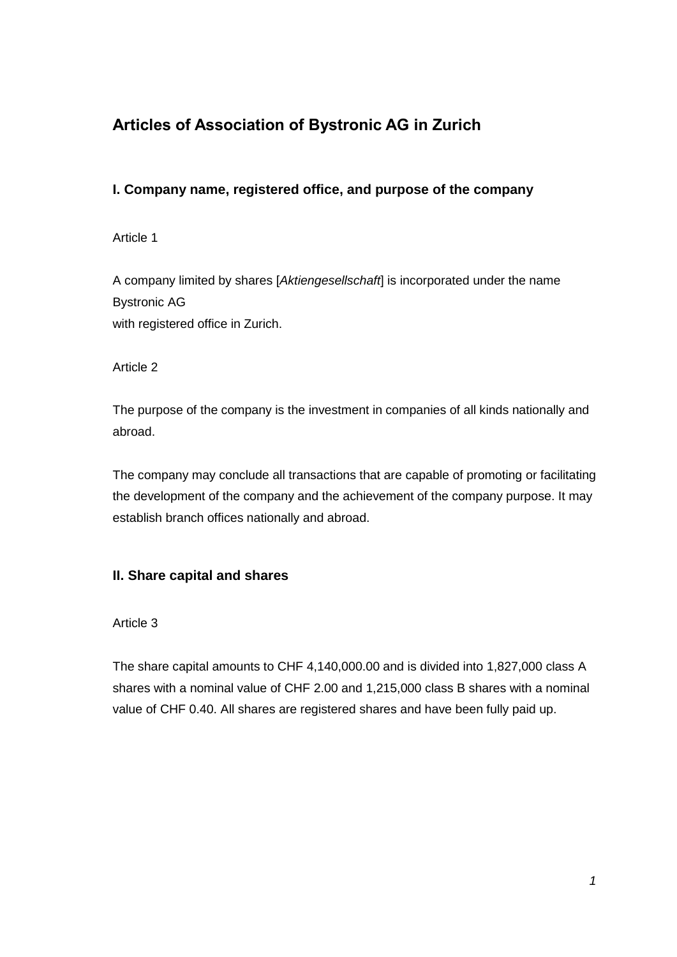# **Articles of Association of Bystronic AG in Zurich**

## **I. Company name, registered office, and purpose of the company**

Article 1

A company limited by shares [*Aktiengesellschaft*] is incorporated under the name Bystronic AG with registered office in Zurich.

Article 2

The purpose of the company is the investment in companies of all kinds nationally and abroad.

The company may conclude all transactions that are capable of promoting or facilitating the development of the company and the achievement of the company purpose. It may establish branch offices nationally and abroad.

## **II. Share capital and shares**

Article 3

The share capital amounts to CHF 4,140,000.00 and is divided into 1,827,000 class A shares with a nominal value of CHF 2.00 and 1,215,000 class B shares with a nominal value of CHF 0.40. All shares are registered shares and have been fully paid up.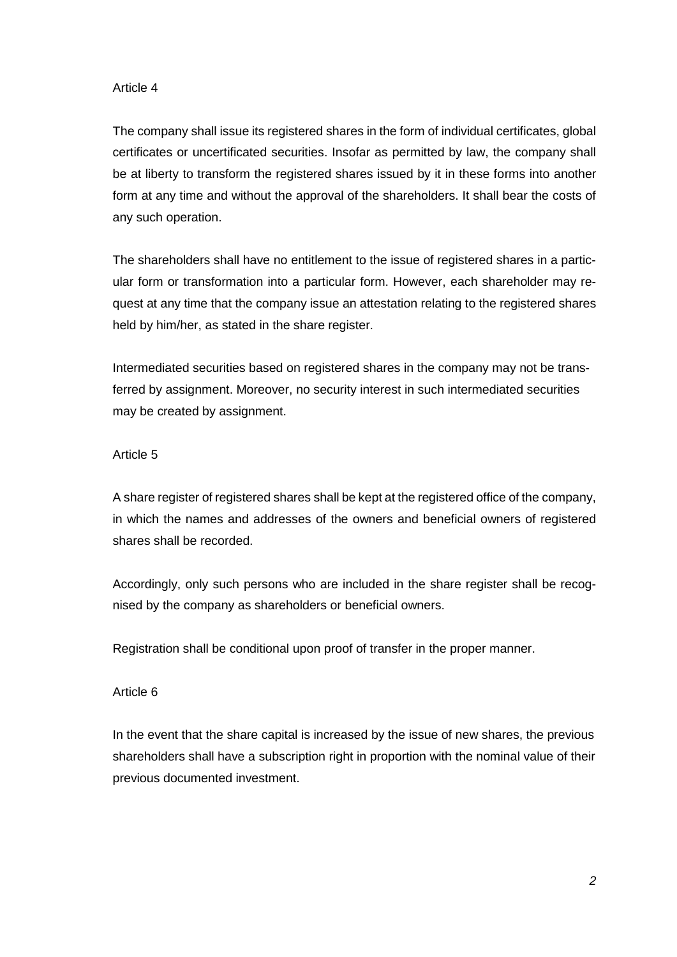#### Article 4

The company shall issue its registered shares in the form of individual certificates, global certificates or uncertificated securities. Insofar as permitted by law, the company shall be at liberty to transform the registered shares issued by it in these forms into another form at any time and without the approval of the shareholders. It shall bear the costs of any such operation.

The shareholders shall have no entitlement to the issue of registered shares in a particular form or transformation into a particular form. However, each shareholder may request at any time that the company issue an attestation relating to the registered shares held by him/her, as stated in the share register.

Intermediated securities based on registered shares in the company may not be transferred by assignment. Moreover, no security interest in such intermediated securities may be created by assignment.

#### Article 5

A share register of registered shares shall be kept at the registered office of the company, in which the names and addresses of the owners and beneficial owners of registered shares shall be recorded.

Accordingly, only such persons who are included in the share register shall be recognised by the company as shareholders or beneficial owners.

Registration shall be conditional upon proof of transfer in the proper manner.

#### Article 6

In the event that the share capital is increased by the issue of new shares, the previous shareholders shall have a subscription right in proportion with the nominal value of their previous documented investment.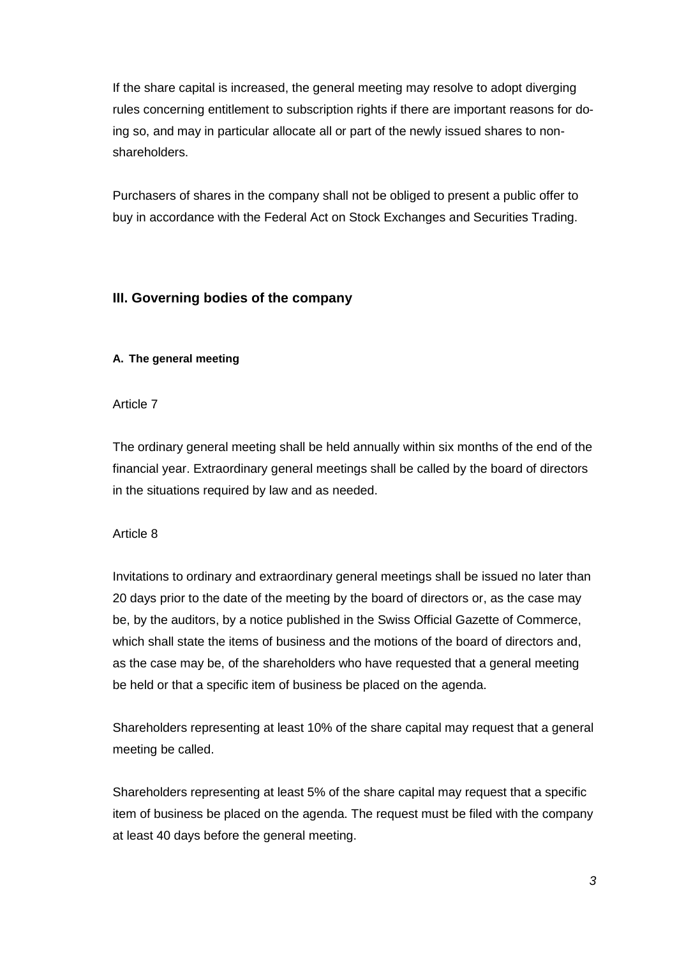If the share capital is increased, the general meeting may resolve to adopt diverging rules concerning entitlement to subscription rights if there are important reasons for doing so, and may in particular allocate all or part of the newly issued shares to nonshareholders.

Purchasers of shares in the company shall not be obliged to present a public offer to buy in accordance with the Federal Act on Stock Exchanges and Securities Trading.

### **III. Governing bodies of the company**

#### **A. The general meeting**

Article 7

The ordinary general meeting shall be held annually within six months of the end of the financial year. Extraordinary general meetings shall be called by the board of directors in the situations required by law and as needed.

#### Article 8

Invitations to ordinary and extraordinary general meetings shall be issued no later than 20 days prior to the date of the meeting by the board of directors or, as the case may be, by the auditors, by a notice published in the Swiss Official Gazette of Commerce, which shall state the items of business and the motions of the board of directors and, as the case may be, of the shareholders who have requested that a general meeting be held or that a specific item of business be placed on the agenda.

Shareholders representing at least 10% of the share capital may request that a general meeting be called.

Shareholders representing at least 5% of the share capital may request that a specific item of business be placed on the agenda. The request must be filed with the company at least 40 days before the general meeting.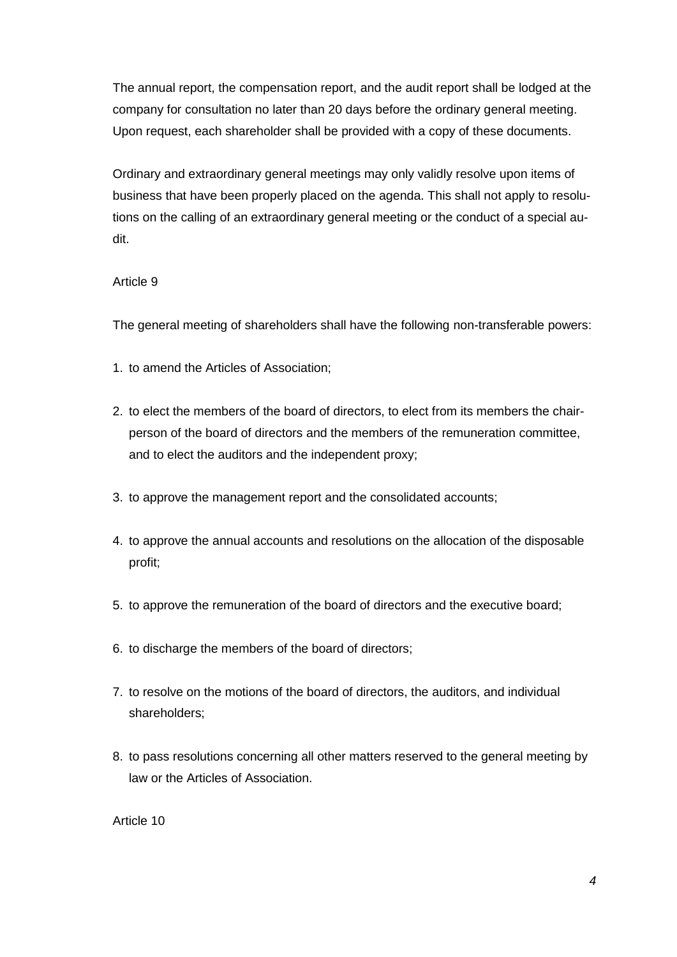The annual report, the compensation report, and the audit report shall be lodged at the company for consultation no later than 20 days before the ordinary general meeting. Upon request, each shareholder shall be provided with a copy of these documents.

Ordinary and extraordinary general meetings may only validly resolve upon items of business that have been properly placed on the agenda. This shall not apply to resolutions on the calling of an extraordinary general meeting or the conduct of a special audit.

#### Article 9

The general meeting of shareholders shall have the following non-transferable powers:

- 1. to amend the Articles of Association;
- 2. to elect the members of the board of directors, to elect from its members the chairperson of the board of directors and the members of the remuneration committee, and to elect the auditors and the independent proxy;
- 3. to approve the management report and the consolidated accounts;
- 4. to approve the annual accounts and resolutions on the allocation of the disposable profit;
- 5. to approve the remuneration of the board of directors and the executive board;
- 6. to discharge the members of the board of directors;
- 7. to resolve on the motions of the board of directors, the auditors, and individual shareholders;
- 8. to pass resolutions concerning all other matters reserved to the general meeting by law or the Articles of Association.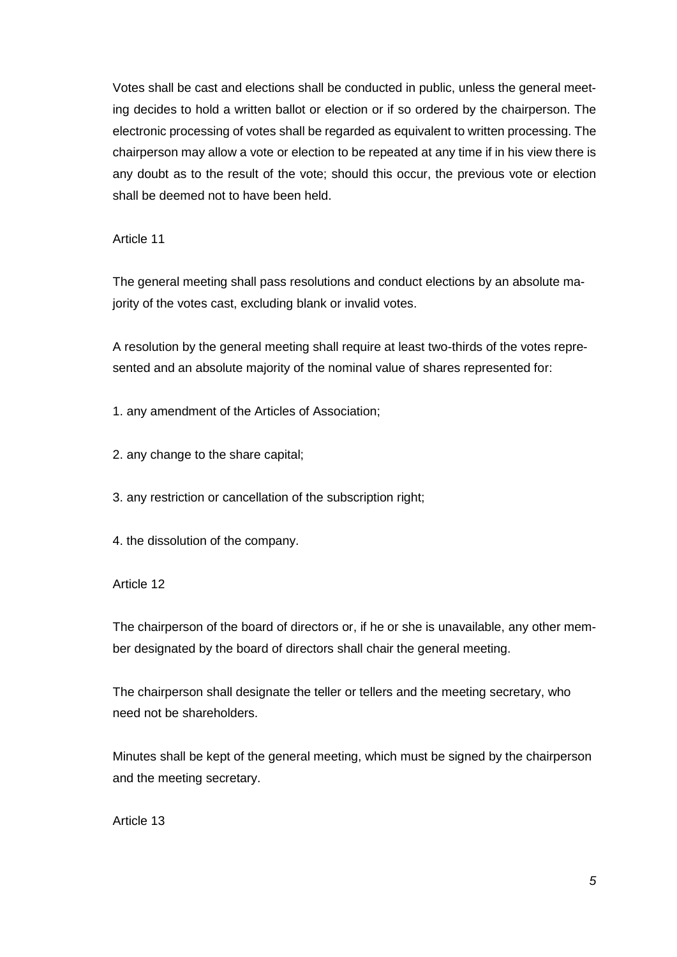Votes shall be cast and elections shall be conducted in public, unless the general meeting decides to hold a written ballot or election or if so ordered by the chairperson. The electronic processing of votes shall be regarded as equivalent to written processing. The chairperson may allow a vote or election to be repeated at any time if in his view there is any doubt as to the result of the vote; should this occur, the previous vote or election shall be deemed not to have been held.

Article 11

The general meeting shall pass resolutions and conduct elections by an absolute majority of the votes cast, excluding blank or invalid votes.

A resolution by the general meeting shall require at least two-thirds of the votes represented and an absolute majority of the nominal value of shares represented for:

1. any amendment of the Articles of Association;

2. any change to the share capital;

3. any restriction or cancellation of the subscription right;

4. the dissolution of the company.

Article 12

The chairperson of the board of directors or, if he or she is unavailable, any other member designated by the board of directors shall chair the general meeting.

The chairperson shall designate the teller or tellers and the meeting secretary, who need not be shareholders.

Minutes shall be kept of the general meeting, which must be signed by the chairperson and the meeting secretary.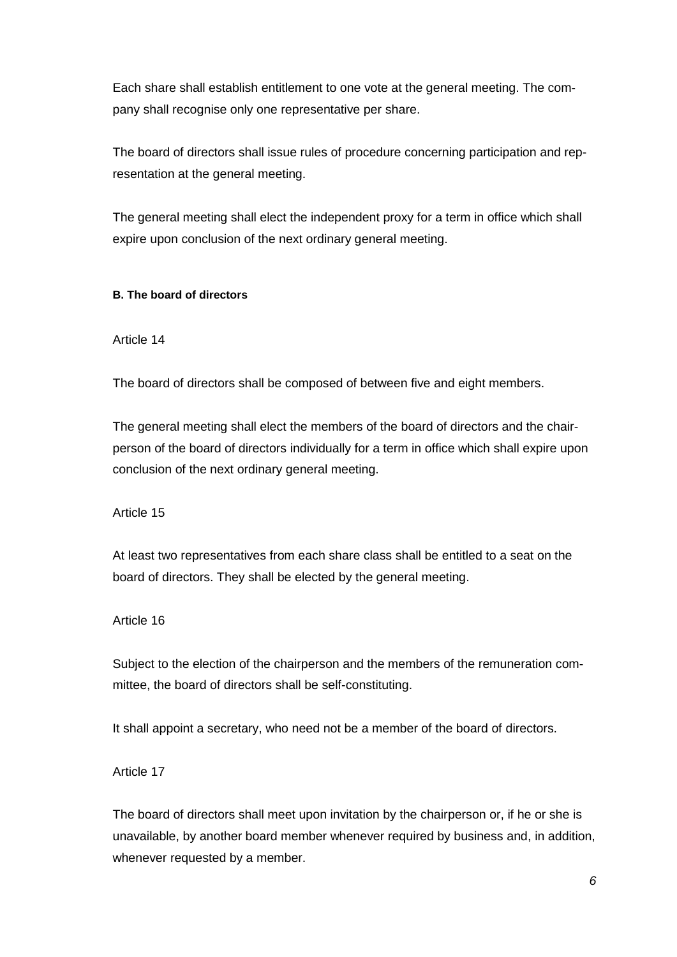Each share shall establish entitlement to one vote at the general meeting. The company shall recognise only one representative per share.

The board of directors shall issue rules of procedure concerning participation and representation at the general meeting.

The general meeting shall elect the independent proxy for a term in office which shall expire upon conclusion of the next ordinary general meeting.

#### **B. The board of directors**

Article 14

The board of directors shall be composed of between five and eight members.

The general meeting shall elect the members of the board of directors and the chairperson of the board of directors individually for a term in office which shall expire upon conclusion of the next ordinary general meeting.

Article 15

At least two representatives from each share class shall be entitled to a seat on the board of directors. They shall be elected by the general meeting.

Article 16

Subject to the election of the chairperson and the members of the remuneration committee, the board of directors shall be self-constituting.

It shall appoint a secretary, who need not be a member of the board of directors.

Article 17

The board of directors shall meet upon invitation by the chairperson or, if he or she is unavailable, by another board member whenever required by business and, in addition, whenever requested by a member.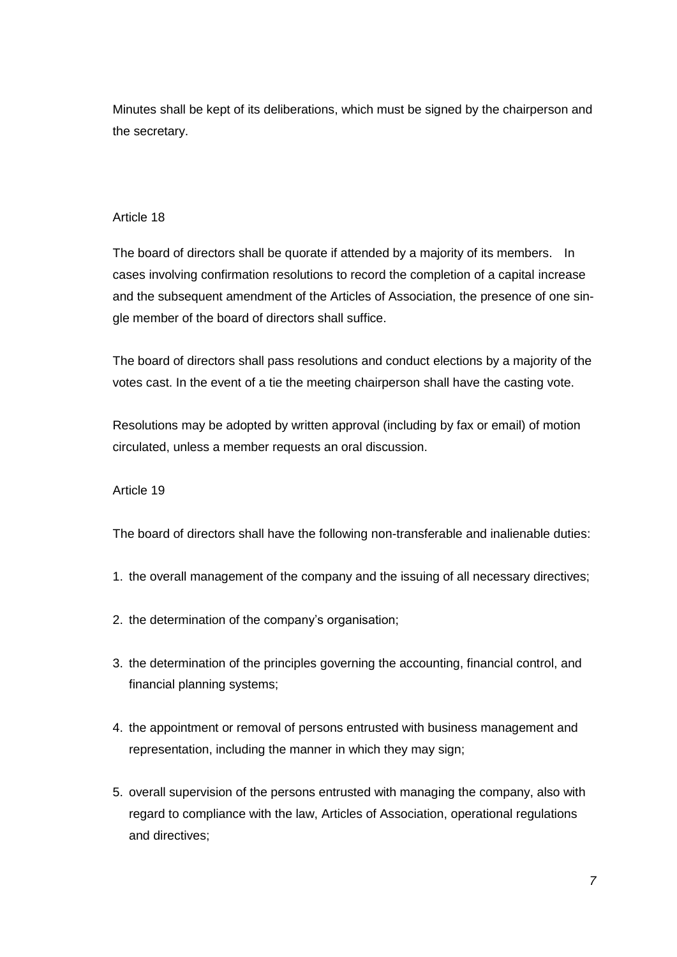Minutes shall be kept of its deliberations, which must be signed by the chairperson and the secretary.

#### Article 18

The board of directors shall be quorate if attended by a majority of its members. In cases involving confirmation resolutions to record the completion of a capital increase and the subsequent amendment of the Articles of Association, the presence of one single member of the board of directors shall suffice.

The board of directors shall pass resolutions and conduct elections by a majority of the votes cast. In the event of a tie the meeting chairperson shall have the casting vote.

Resolutions may be adopted by written approval (including by fax or email) of motion circulated, unless a member requests an oral discussion.

#### Article 19

The board of directors shall have the following non-transferable and inalienable duties:

- 1. the overall management of the company and the issuing of all necessary directives;
- 2. the determination of the company's organisation;
- 3. the determination of the principles governing the accounting, financial control, and financial planning systems;
- 4. the appointment or removal of persons entrusted with business management and representation, including the manner in which they may sign;
- 5. overall supervision of the persons entrusted with managing the company, also with regard to compliance with the law, Articles of Association, operational regulations and directives;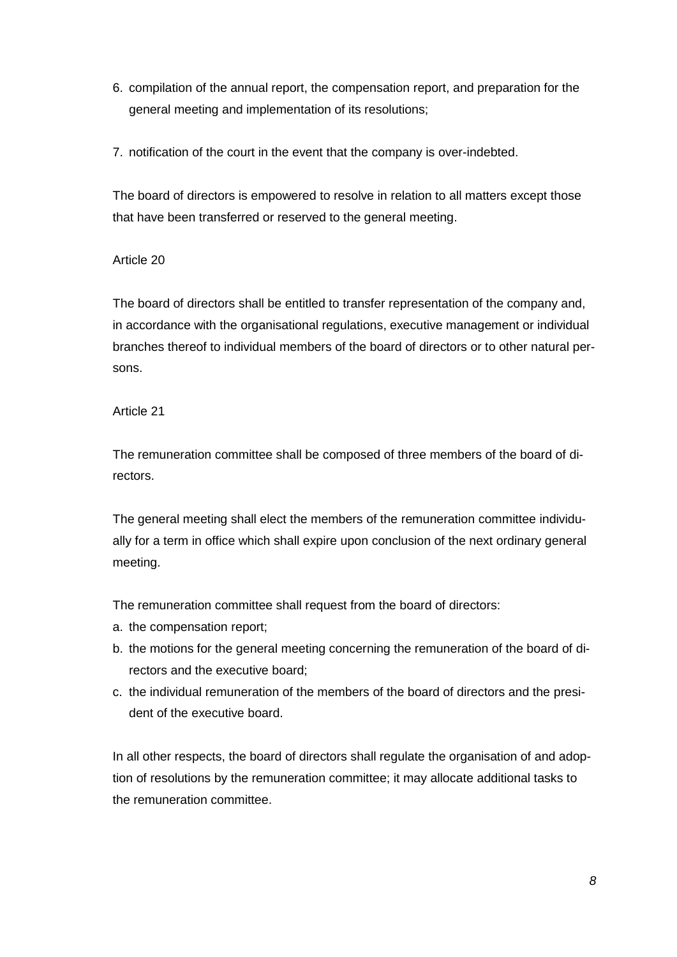- 6. compilation of the annual report, the compensation report, and preparation for the general meeting and implementation of its resolutions;
- 7. notification of the court in the event that the company is over-indebted.

The board of directors is empowered to resolve in relation to all matters except those that have been transferred or reserved to the general meeting.

#### Article 20

The board of directors shall be entitled to transfer representation of the company and, in accordance with the organisational regulations, executive management or individual branches thereof to individual members of the board of directors or to other natural persons.

#### Article 21

The remuneration committee shall be composed of three members of the board of directors.

The general meeting shall elect the members of the remuneration committee individually for a term in office which shall expire upon conclusion of the next ordinary general meeting.

The remuneration committee shall request from the board of directors:

- a. the compensation report;
- b. the motions for the general meeting concerning the remuneration of the board of directors and the executive board;
- c. the individual remuneration of the members of the board of directors and the president of the executive board.

In all other respects, the board of directors shall regulate the organisation of and adoption of resolutions by the remuneration committee; it may allocate additional tasks to the remuneration committee.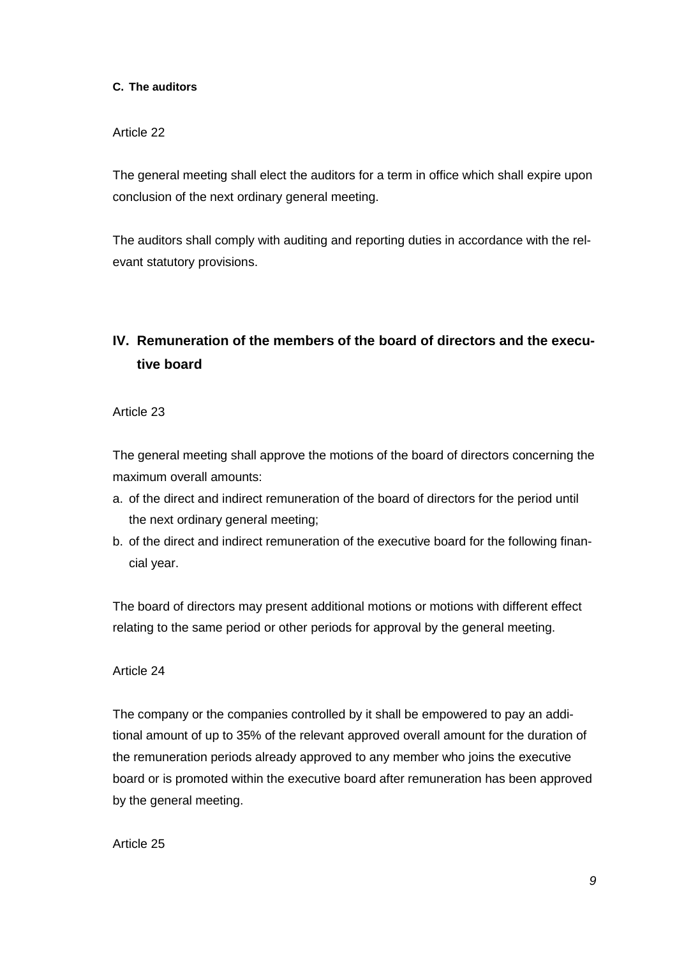#### **C. The auditors**

#### Article 22

The general meeting shall elect the auditors for a term in office which shall expire upon conclusion of the next ordinary general meeting.

The auditors shall comply with auditing and reporting duties in accordance with the relevant statutory provisions.

## **IV. Remuneration of the members of the board of directors and the executive board**

Article 23

The general meeting shall approve the motions of the board of directors concerning the maximum overall amounts:

- a. of the direct and indirect remuneration of the board of directors for the period until the next ordinary general meeting;
- b. of the direct and indirect remuneration of the executive board for the following financial year.

The board of directors may present additional motions or motions with different effect relating to the same period or other periods for approval by the general meeting.

#### Article 24

The company or the companies controlled by it shall be empowered to pay an additional amount of up to 35% of the relevant approved overall amount for the duration of the remuneration periods already approved to any member who joins the executive board or is promoted within the executive board after remuneration has been approved by the general meeting.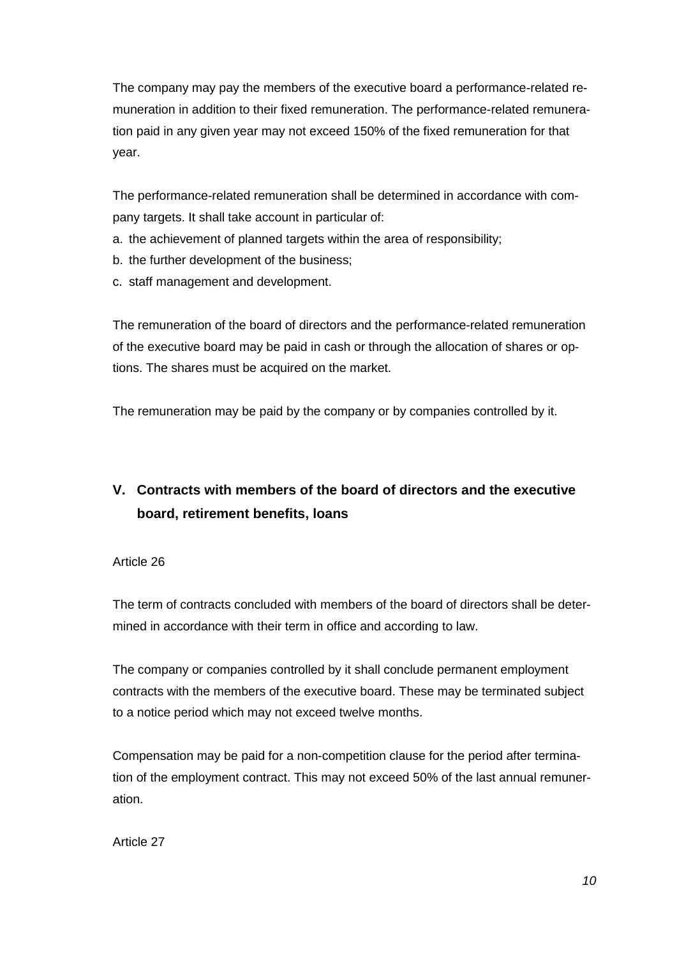The company may pay the members of the executive board a performance-related remuneration in addition to their fixed remuneration. The performance-related remuneration paid in any given year may not exceed 150% of the fixed remuneration for that year.

The performance-related remuneration shall be determined in accordance with company targets. It shall take account in particular of:

- a. the achievement of planned targets within the area of responsibility;
- b. the further development of the business;
- c. staff management and development.

The remuneration of the board of directors and the performance-related remuneration of the executive board may be paid in cash or through the allocation of shares or options. The shares must be acquired on the market.

The remuneration may be paid by the company or by companies controlled by it.

# **V. Contracts with members of the board of directors and the executive board, retirement benefits, loans**

Article 26

The term of contracts concluded with members of the board of directors shall be determined in accordance with their term in office and according to law.

The company or companies controlled by it shall conclude permanent employment contracts with the members of the executive board. These may be terminated subject to a notice period which may not exceed twelve months.

Compensation may be paid for a non-competition clause for the period after termination of the employment contract. This may not exceed 50% of the last annual remuneration.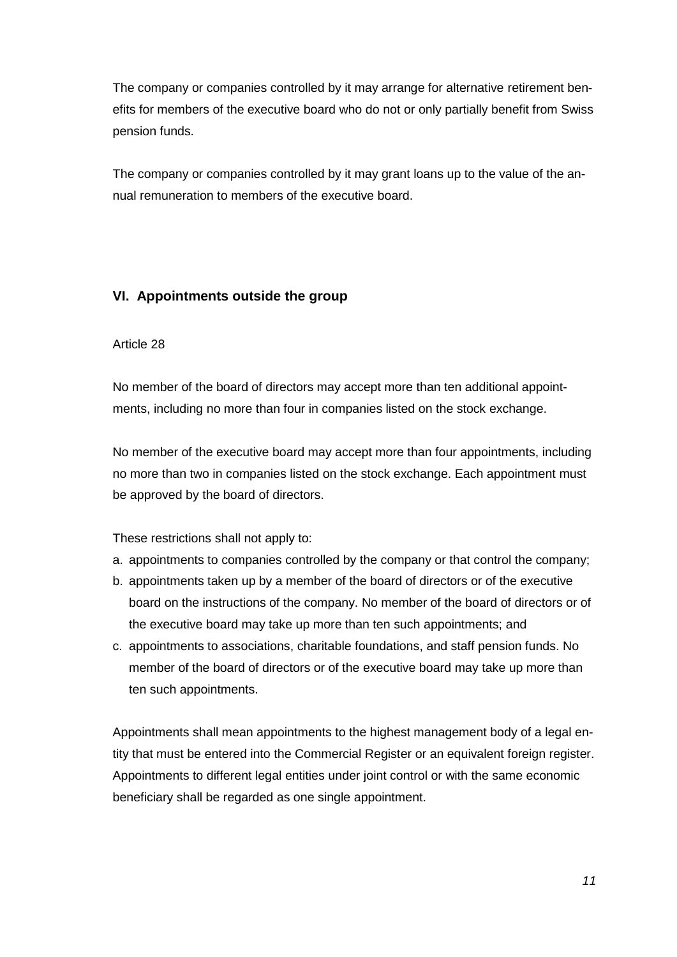The company or companies controlled by it may arrange for alternative retirement benefits for members of the executive board who do not or only partially benefit from Swiss pension funds.

The company or companies controlled by it may grant loans up to the value of the annual remuneration to members of the executive board.

## **VI. Appointments outside the group**

#### Article 28

No member of the board of directors may accept more than ten additional appointments, including no more than four in companies listed on the stock exchange.

No member of the executive board may accept more than four appointments, including no more than two in companies listed on the stock exchange. Each appointment must be approved by the board of directors.

These restrictions shall not apply to:

- a. appointments to companies controlled by the company or that control the company;
- b. appointments taken up by a member of the board of directors or of the executive board on the instructions of the company. No member of the board of directors or of the executive board may take up more than ten such appointments; and
- c. appointments to associations, charitable foundations, and staff pension funds. No member of the board of directors or of the executive board may take up more than ten such appointments.

Appointments shall mean appointments to the highest management body of a legal entity that must be entered into the Commercial Register or an equivalent foreign register. Appointments to different legal entities under joint control or with the same economic beneficiary shall be regarded as one single appointment.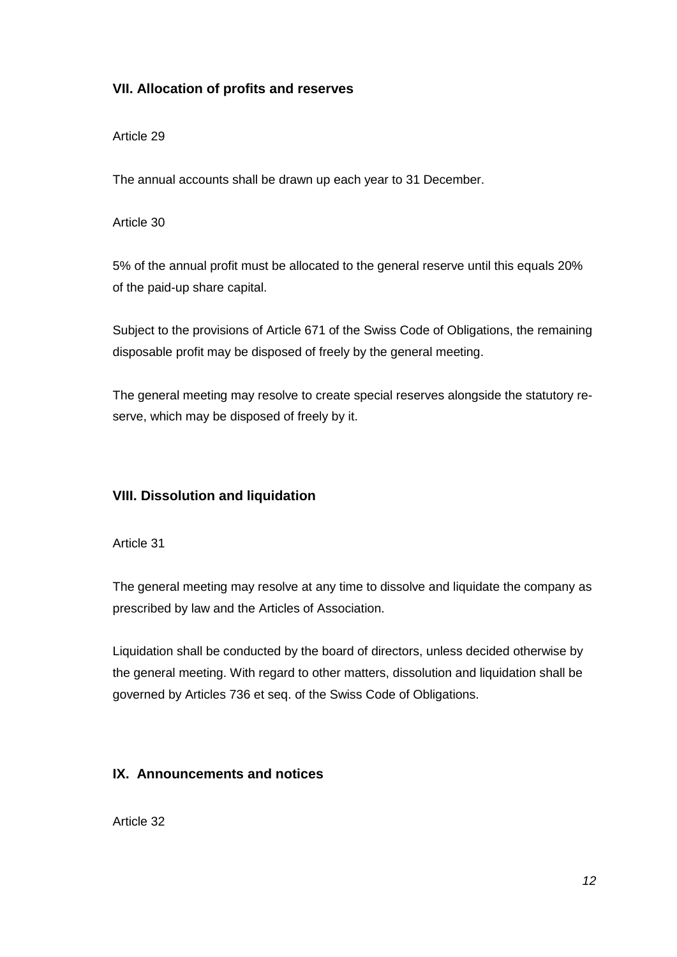## **VII. Allocation of profits and reserves**

#### Article 29

The annual accounts shall be drawn up each year to 31 December.

#### Article 30

5% of the annual profit must be allocated to the general reserve until this equals 20% of the paid-up share capital.

Subject to the provisions of Article 671 of the Swiss Code of Obligations, the remaining disposable profit may be disposed of freely by the general meeting.

The general meeting may resolve to create special reserves alongside the statutory reserve, which may be disposed of freely by it.

## **VIII. Dissolution and liquidation**

Article 31

The general meeting may resolve at any time to dissolve and liquidate the company as prescribed by law and the Articles of Association.

Liquidation shall be conducted by the board of directors, unless decided otherwise by the general meeting. With regard to other matters, dissolution and liquidation shall be governed by Articles 736 et seq. of the Swiss Code of Obligations.

## **IX. Announcements and notices**